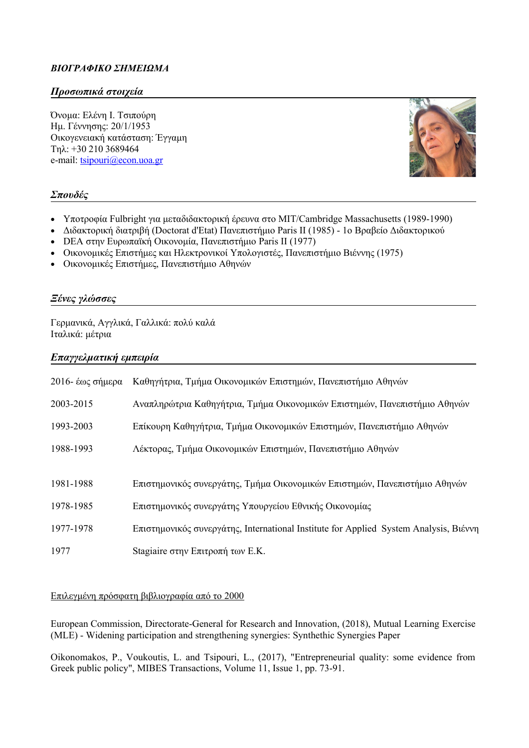# *BIOΓΡΑΦΙΚΟ ΣΗΜΕΙΩΜΑ*

## *Προσωπικά στοιχεία*

Όνομα: Ελένη Ι. Τσιπούρη Ημ. Γέννησης: 20/1/1953 Οικογενειακή κατάσταση: Έγγαμη Τηλ: +30 210 3689464 e-mail: [tsipouri@econ.uoa.gr](mailto:tsipouri@econ.uoa.gr)



### *Σπουδές*

- Υποτροφία Fulbright για μεταδιδακτορική έρευνα στο MIT/Cambridge Massachusetts (1989-1990)
- Διδακτορική διατριβή (Doctorat d'Etat) Πανεπιστήμιο Paris II (1985) 1o Βραβείο Διδακτορικού
- DEA στην Ευρωπαϊκή Οικονομία, Πανεπιστήμιο Paris II (1977)
- Oικονομικές Επιστήμες και Ηλεκτρονικοί Υπολογιστές, Πανεπιστήμιο Βιέννης (1975)
- Οικονομικές Επιστήμες, Πανεπιστήμιο Αθηνών

### *Ξένες γλώσσες*

Γερμανικά, Αγγλικά, Γαλλικά: πολύ καλά Ιταλικά: μέτρια

### *Επαγγελματική εμπειρία*

| 2016- έως σήμερα | Καθηγήτρια, Τμήμα Οικονομικών Επιστημών, Πανεπιστήμιο Αθηνών                          |
|------------------|---------------------------------------------------------------------------------------|
| 2003-2015        | Αναπληρώτρια Καθηγήτρια, Τμήμα Οικονομικών Επιστημών, Πανεπιστήμιο Αθηνών             |
| 1993-2003        | Επίκουρη Καθηγήτρια, Τμήμα Οικονομικών Επιστημών, Πανεπιστήμιο Αθηνών                 |
| 1988-1993        | Λέκτορας, Τμήμα Οικονομικών Επιστημών, Πανεπιστήμιο Αθηνών                            |
|                  |                                                                                       |
| 1981-1988        | Επιστημονικός συνεργάτης, Τμήμα Οικονομικών Επιστημών, Πανεπιστήμιο Αθηνών            |
| 1978-1985        | Επιστημονικός συνεργάτης Υπουργείου Εθνικής Οικονομίας                                |
| 1977-1978        | Επιστημονικός συνεργάτης, International Institute for Applied System Analysis, Βιέννη |
| 1977             | Stagiaire στην Επιτροπή των Ε.Κ.                                                      |

#### Επιλεγμένη πρόσφατη βιβλιογραφία από το 2000

European Commission, Directorate-General for Research and Innovation, (2018), Mutual Learning Exercise (MLE) - Widening participation and strengthening synergies: Synthethic Synergies Paper

Oikonomakos, P., Voukoutis, L. and Tsipouri, L., (2017), "Entrepreneurial quality: some evidence from Greek public policy", MIBES Transactions, Volume 11, Issue 1, pp. 73-91.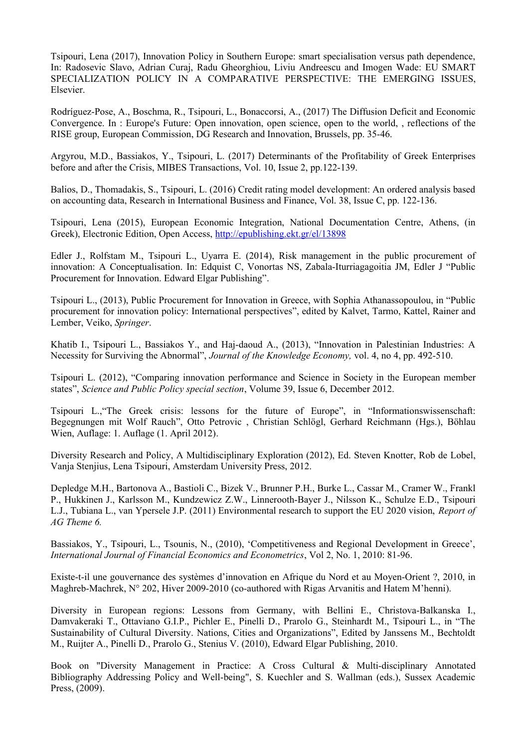Tsipouri, Lena (2017), Innovation Policy in Southern Europe: smart specialisation versus path dependence, In: Radosevic Slavo, Adrian Curaj, Radu Gheorghiou, Liviu Andreescu and Imogen Wade: EU SMART SPECIALIZATION POLICY IN A COMPARATIVE PERSPECTIVE: THE EMERGING ISSUES, Elsevier.

Rodríguez-Pose, A., Boschma, R., Tsipouri, L., Bonaccorsi, A., (2017) The Diffusion Deficit and Economic Convergence. In : Europe's Future: Open innovation, open science, open to the world, , reflections of the RISE group, European Commission, DG Research and Innovation, Brussels, pp. 35-46.

Argyrou, M.D., Bassiakos, Y., Tsipouri, L. (2017) Determinants of the Profitability of Greek Enterprises before and after the Crisis, MIBES Transactions, Vol. 10, Issue 2, pp.122-139.

Balios, D., Thomadakis, S., Tsipouri, L. (2016) Credit rating model development: An ordered analysis based on accounting data, Research in International Business and Finance, Vol. 38, Issue C, pp. 122-136.

Tsipouri, Lena (2015), European Economic Integration, National Documentation Centre, Athens, (in Greek), Electronic Edition, Open Access, <http://epublishing.ekt.gr/el/13898>

Edler J., Rolfstam M., Tsipouri L., Uyarra E. (2014), Risk management in the public procurement of innovation: A Conceptualisation. In: Edquist C, Vonortas NS, Zabala-Iturriagagoitia JM, Edler J "Public Procurement for Innovation. Edward Elgar Publishing".

Tsipouri L., (2013), Public Procurement for Innovation in Greece, with Sophia Athanassopoulou, in "Public procurement for innovation policy: International perspectives", edited by Kalvet, Tarmo, Kattel, Rainer and Lember, Veiko, *Springer*.

Khatib I., Tsipouri L., Bassiakos Y., and Haj-daoud A., (2013), "Innovation in Palestinian Industries: A Necessity for Surviving the Abnormal", *Journal of the Knowledge Economy,* vol. 4, no 4, pp. 492-510.

Tsipouri L. (2012), "Comparing innovation performance and Science in Society in the European member states", *Science and Public Policy special section*, Volume 39, Issue 6, December 2012.

Tsipouri L.,"The Greek crisis: lessons for the future of Europe", in "Informationswissenschaft: Begegnungen mit Wolf Rauch", Otto Petrovic , Christian Schlögl, Gerhard Reichmann (Hgs.), Böhlau Wien, Auflage: 1. Auflage (1. April 2012).

Diversity Research and Policy, A Multidisciplinary Exploration (2012), Ed. Steven Knotter, Rob de Lobel, Vanja Stenjius, Lena Tsipouri, Amsterdam University Press, 2012.

Depledge M.H., Bartonova A., Bastioli C., Bizek V., Brunner P.H., Burke L., Cassar M., Cramer W., Frankl P., Hukkinen J., Karlsson M., Kundzewicz Z.W., Linnerooth-Bayer J., Nilsson K., Schulze E.D., Tsipouri L.J., Tubiana L., van Ypersele J.P. (2011) Environmental research to support the EU 2020 vision, *Report of AG Theme 6.*

Bassiakos, Y., Tsipouri, L., Tsounis, N., (2010), 'Competitiveness and Regional Development in Greece', *International Journal of Financial Economics and Econometrics*, Vol 2, No. 1, 2010: 81-96.

Existe-t-il une gouvernance des systèmes d'innovation en Afrique du Nord et au Moyen-Orient ?, 2010, in Maghreb-Machrek, N° 202, Hiver 2009-2010 (co-authored with Rigas Arvanitis and Hatem M'henni).

Diversity in European regions: Lessons from Germany, with Bellini E., Christova-Balkanska I., Damvakeraki T., Ottaviano G.I.P., Pichler E., Pinelli D., Prarolo G., Steinhardt M., Tsipouri L., in "The Sustainability of Cultural Diversity. Nations, Cities and Organizations", Edited by Janssens M., Bechtoldt M., Ruijter A., Pinelli D., Prarolo G., Stenius V. (2010), Edward Elgar Publishing, 2010.

Book on "Diversity Management in Practice: A Cross Cultural & Multi-disciplinary Annotated Bibliography Addressing Policy and Well-being", S. Kuechler and S. Wallman (eds.), Sussex Academic Press, (2009).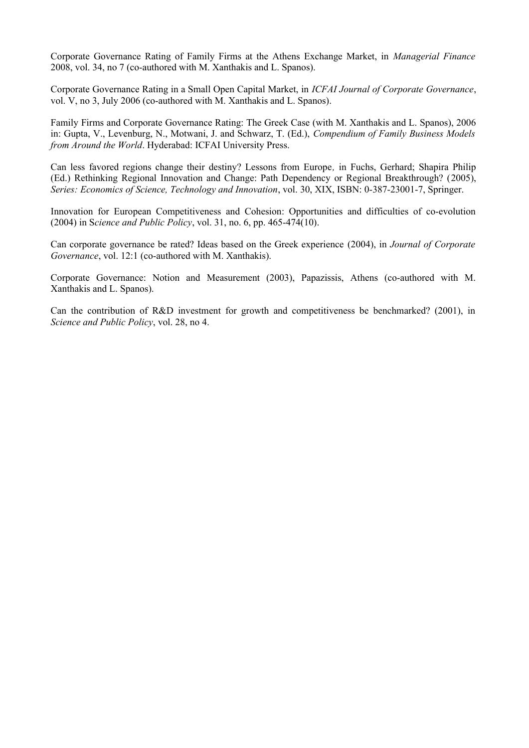Corporate Governance Rating of Family Firms at the Athens Exchange Market, in *Managerial Finance* 2008, vol. 34, no 7 (co-authored with M. Xanthakis and L. Spanos).

Corporate Governance Rating in a Small Open Capital Market, in *ICFAI Journal of Corporate Governance*, vol. V, no 3, July 2006 (co-authored with M. Xanthakis and L. Spanos).

Family Firms and Corporate Governance Rating: The Greek Case (with M. Xanthakis and L. Spanos), 2006 in: Gupta, V., Levenburg, N., Motwani, J. and Schwarz, T. (Ed.), *Compendium of Family Business Models from Around the World*. Hyderabad: ICFAI University Press.

Can less favored regions change their destiny? Lessons from Europe*,* in Fuchs, Gerhard; Shapira Philip (Ed.) Rethinking Regional Innovation and Change: Path Dependency or Regional Breakthrough? (2005), *Series: Economics of Science, Technology and Innovation*, vol. 30, XIX, ISBN: 0-387-23001-7, Springer.

Innovation for European Competitiveness and Cohesion: Opportunities and difficulties of co-evolution (2004) in S*cience and Public Policy*, vol. 31, no. 6, pp. 465-474(10).

Can corporate governance be rated? Ideas based on the Greek experience (2004), in *Journal of Corporate Governance*, vol. 12:1 (co-authored with M. Xanthakis).

Corporate Governance: Notion and Measurement (2003), Papazissis, Athens (co-authored with M. Xanthakis and L. Spanos).

Can the contribution of R&D investment for growth and competitiveness be benchmarked? (2001), in *Science and Public Policy*, vol. 28, no 4.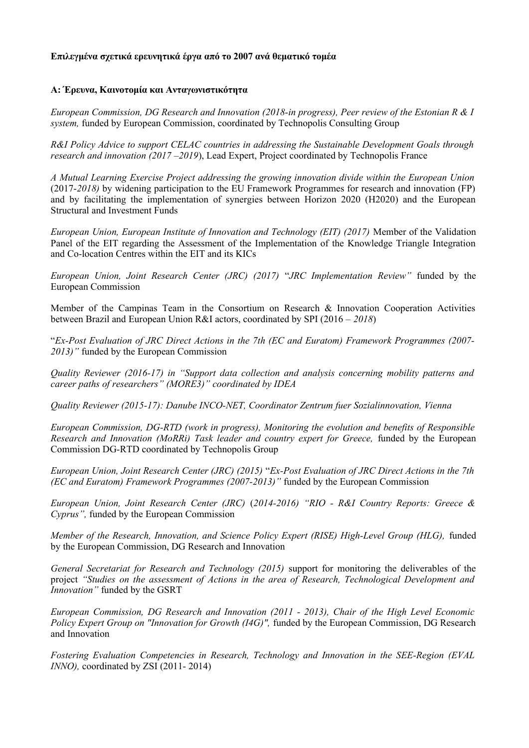#### **Επιλεγμένα σχετικά ερευνητικά έργα από το 2007 ανά θεματικό τομέα**

#### **A: Έρευνα, Καινοτομία και Ανταγωνιστικότητα**

*European Commission, DG Research and Innovation (2018-in progress), Peer review of the Estonian R & I system,* funded by European Commission, coordinated by Technopolis Consulting Group

*R&I Policy Advice to support CELAC countries in addressing the Sustainable Development Goals through research and innovation (2017 –2019*), Lead Expert, Project coordinated by Technopolis France

*A Mutual Learning Exercise Project addressing the growing innovation divide within the European Union* (2017-*2018)* by widening participation to the EU Framework Programmes for research and innovation (FP) and by facilitating the implementation of synergies between Horizon 2020 (H2020) and the European Structural and Investment Funds

*European Union, European Institute of Innovation and Technology (EIT) (2017)* Member of the Validation Panel of the EIT regarding the Assessment of the Implementation of the Knowledge Triangle Integration and Co-location Centres within the EIT and its KICs

*European Union, Joint Research Center (JRC) (2017)* "*JRC Implementation Review"* funded by the European Commission

Member of the Campinas Team in the Consortium on Research & Innovation Cooperation Activities between Brazil and European Union R&I actors, coordinated by SPI (2016 – *2018*)

"*Ex-Post Evaluation of JRC Direct Actions in the 7th (EC and Euratom) Framework Programmes (2007- 2013)"* funded by the European Commission

*Quality Reviewer (2016-17) in "Support data collection and analysis concerning mobility patterns and career paths of researchers" (MORE3)" coordinated by IDEA*

*Quality Reviewer (2015-17): Danube INCO-NET, Coordinator Zentrum fuer Sozialinnovation, Vienna*

*European Commission, DG-RTD (work in progress), Monitoring the evolution and benefits of Responsible Research and Innovation (MoRRi) Task leader and country expert for Greece, funded by the European* Commission DG-RTD coordinated by Technopolis Group

*European Union, Joint Research Center (JRC) (2015)* "*Ex-Post Evaluation of JRC Direct Actions in the 7th (EC and Euratom) Framework Programmes (2007-2013)"* funded by the European Commission

*European Union, Joint Research Center (JRC)* (*2014-2016) "RIO - R&I Country Reports: Greece & Cyprus",* funded by the European Commission

*Member of the Research, Innovation, and Science Policy Expert (RISE) High-Level Group (HLG),* funded by the European Commission, DG Research and Innovation

*General Secretariat for Research and Technology (2015)* support for monitoring the deliverables of the project *"Studies on the assessment of Actions in the area of Research, Technological Development and Innovation"* funded by the GSRT

*European Commission, DG Research and Innovation (2011 - 2013), Chair of the High Level Economic Policy Expert Group on "Innovation for Growth (I4G)",* funded by the European Commission, DG Research and Innovation

*Fostering Evaluation Competencies in Research, Technology and Innovation in the SEE-Region (EVAL INNO),* coordinated by ZSI (2011- 2014)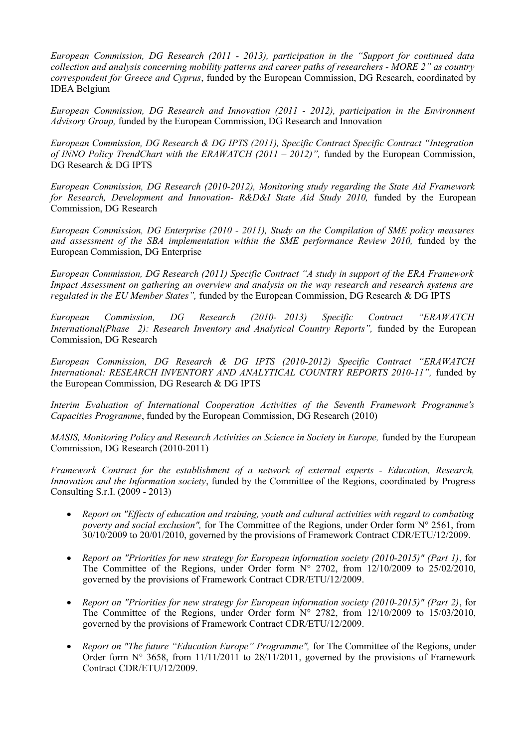*European Commission, DG Research (2011 - 2013), participation in the "Support for continued data collection and analysis concerning mobility patterns and career paths of researchers - MORE 2" as country correspondent for Greece and Cyprus*, funded by the European Commission, DG Research, coordinated by IDEA Belgium

*European Commission, DG Research and Innovation (2011 - 2012), participation in the Environment Advisory Group,* funded by the European Commission, DG Research and Innovation

*European Commission, DG Research & DG IPTS (2011), Specific Contract Specific Contract "Integration of INNO Policy TrendChart with the ERAWATCH (2011 – 2012)*", funded by the European Commission, DG Research & DG IPTS

*European Commission, DG Research (2010-2012), Monitoring study regarding the State Aid Framework for Research, Development and Innovation- R&D&I State Aid Study 2010, funded by the European* Commission, DG Research

*European Commission, DG Enterprise (2010 - 2011), Study on the Compilation of SME policy measures* and assessment of the SBA implementation within the SME performance Review 2010, funded by the European Commission, DG Enterprise

*European Commission, DG Research (2011) Specific Contract "A study in support of the ERA Framework Impact Assessment on gathering an overview and analysis on the way research and research systems are regulated in the EU Member States",* funded by the European Commission, DG Research & DG IPTS

*European Commission, DG Research (2010- 2013) Specific Contract "ERAWATCH International(Phase 2): Research Inventory and Analytical Country Reports", funded by the European* Commission, DG Research

*European Commission, DG Research & DG IPTS (2010-2012) Specific Contract "ERAWATCH International: RESEARCH INVENTORY AND ANALYTICAL COUNTRY REPORTS 2010-11"*, funded by the European Commission, DG Research & DG IPTS

*Interim Evaluation of International Cooperation Activities of the Seventh Framework Programme's Capacities Programme*, funded by the European Commission, DG Research (2010)

*MASIS, Monitoring Policy and Research Activities on Science in Society in Europe, funded by the European* Commission, DG Research (2010-2011)

*Framework Contract for the establishment of a network of external experts - Education, Research, Innovation and the Information society*, funded by the Committee of the Regions, coordinated by Progress Consulting S.r.I. (2009 - 2013)

- *Report on "Effects of education and training, youth and cultural activities with regard to combating poverty and social exclusion",* for The Committee of the Regions, under Order form N° 2561, from 30/10/2009 to 20/01/2010, governed by the provisions of Framework Contract CDR/ETU/12/2009.
- *Report on "Priorities for new strategy for European information society (2010-2015)" (Part 1)*, for The Committee of the Regions, under Order form  $N^{\circ}$  2702, from 12/10/2009 to 25/02/2010, governed by the provisions of Framework Contract CDR/ETU/12/2009.
- *Report on "Priorities for new strategy for European information society (2010-2015)" (Part 2)*, for The Committee of the Regions, under Order form  $N^{\circ}$  2782, from 12/10/2009 to 15/03/2010, governed by the provisions of Framework Contract CDR/ETU/12/2009.
- *Report on "The future "Education Europe" Programme",* for The Committee of the Regions, under Order form  $N^{\circ}$  3658, from 11/11/2011 to 28/11/2011, governed by the provisions of Framework Contract CDR/ETU/12/2009.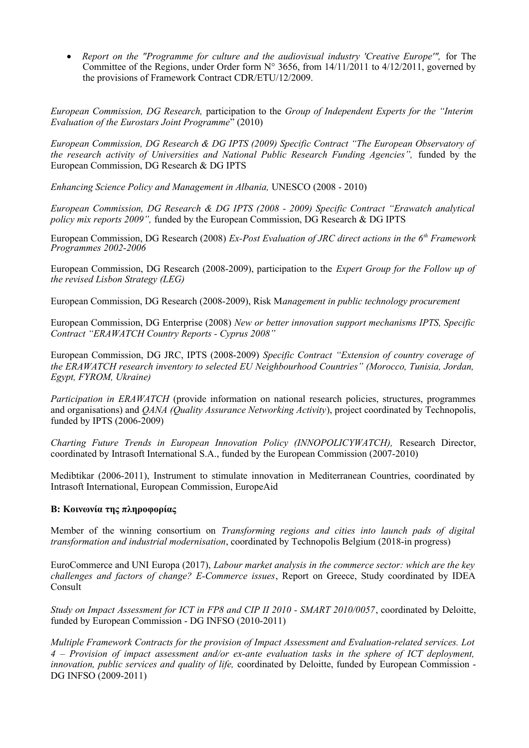• Report on the "Programme for culture and the audiovisual industry 'Creative Europe'", for The Committee of the Regions, under Order form  $N^{\circ}$  3656, from 14/11/2011 to 4/12/2011, governed by the provisions of Framework Contract CDR/ETU/12/2009.

*European Commission, DG Research,* participation to the *Group of Independent Experts for the "Interim Evaluation of the Eurostars Joint Programme*" (2010)

*European Commission, DG Research & DG IPTS (2009) Specific Contract "The European Observatory of the research activity of Universities and National Public Research Funding Agencies",* funded by the European Commission, DG Research & DG IPTS

*Enhancing Science Policy and Management in Albania,* UNESCO (2008 - 2010)

*European Commission, DG Research & DG IPTS (2008 - 2009) Specific Contract "Erawatch analytical policy mix reports 2009",* funded by the European Commission, DG Research & DG IPTS

European Commission, DG Research (2008) *Ex-Post Evaluation of JRC direct actions in the 6th Framework Programmes 2002-2006*

European Commission, DG Research (2008-2009), participation to the *Expert Group for the Follow up of the revised Lisbon Strategy (LEG)*

European Commission, DG Research (2008-2009), Risk M*anagement in public technology procurement*

European Commission, DG Enterprise (2008) *New or better innovation support mechanisms IPTS, Specific Contract "ERAWATCH Country Reports - Cyprus 2008"*

European Commission, DG JRC, IPTS (2008-2009) *Specific Contract "Extension of country coverage of the ERAWATCH research inventory to selected EU Neighbourhood Countries" (Morocco, Tunisia, Jordan, Egypt, FYROM, Ukraine)*

*Participation in ERAWATCH* (provide information on national research policies, structures, programmes and organisations) and *QANA (Quality Assurance Networking Activity*), project coordinated by Technopolis, funded by IPTS (2006-2009)

*Charting Future Trends in European Innovation Policy (INNOPOLICYWATCH),* Research Director, coordinated by Intrasoft International S.A., funded by the European Commission (2007-2010)

Medibtikar (2006-2011), Instrument to stimulate innovation in Mediterranean Countries, coordinated by Intrasoft International, European Commission, EuropeAid

#### **B: Κοινωνία της πληροφορίας**

Member of the winning consortium on *Transforming regions and cities into launch pads of digital transformation and industrial modernisation*, coordinated by Technopolis Belgium (2018-in progress)

EuroCommerce and UNI Europa (2017), *Labour market analysis in the commerce sector: which are the key challenges and factors of change? E-Commerce issues*, Report on Greece, Study coordinated by IDEA Consult

*Study on Impact Assessment for ICT in FP8 and CIP II 2010 - SMART 2010/0057*, coordinated by Deloitte, funded by European Commission - DG INFSO (2010-2011)

*Multiple Framework Contracts for the provision of Impact Assessment and Evaluation-related services. Lot 4 – Provision of impact assessment and/or ex-ante evaluation tasks in the sphere of ICT deployment, innovation, public services and quality of life,* coordinated by Deloitte, funded by European Commission - DG INFSO (2009-2011)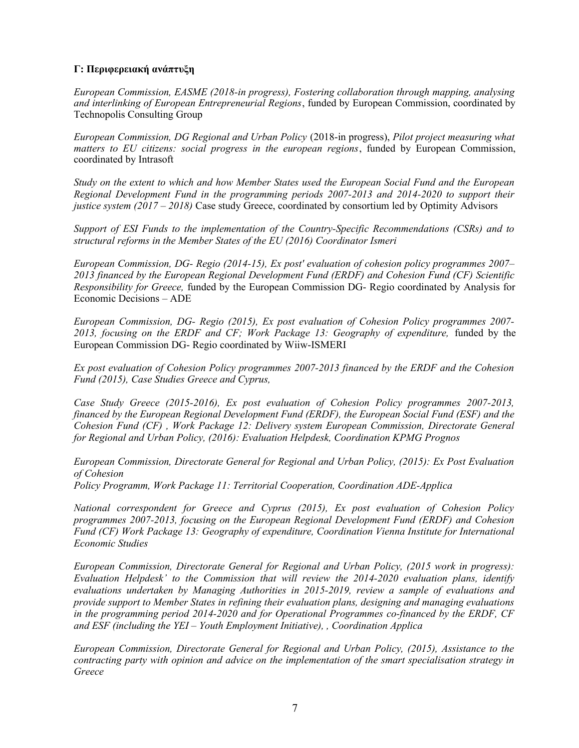### **Γ: Περιφερειακή ανάπτυξη**

*European Commission, EASME (2018-in progress), Fostering collaboration through mapping, analysing and interlinking of European Entrepreneurial Regions*, funded by European Commission, coordinated by Technopolis Consulting Group

*European Commission, DG Regional and Urban Policy* (2018-in progress), *Pilot project measuring what matters to EU citizens: social progress in the european regions*, funded by European Commission, coordinated by Intrasoft

*Study on the extent to which and how Member States used the European Social Fund and the European Regional Development Fund in the programming periods 2007-2013 and 2014-2020 to support their justice system (2017 – 2018)* Case study Greece, coordinated by consortium led by Optimity Advisors

*Support of ESI Funds to the implementation of the Country-Specific Recommendations (CSRs) and to structural reforms in the Member States of the EU (2016) Coordinator Ismeri*

*European Commission, DG- Regio (2014-15), Ex post' evaluation of cohesion policy programmes 2007– 2013 financed by the European Regional Development Fund (ERDF) and Cohesion Fund (CF) Scientific Responsibility for Greece,* funded by the European Commission DG- Regio coordinated by Analysis for Economic Decisions – ADE

*European Commission, DG- Regio (2015), Ex post evaluation of Cohesion Policy programmes 2007-* 2013, focusing on the ERDF and CF; Work Package 13: Geography of expenditure, funded by the European Commission DG- Regio coordinated by Wiiw-ISMERI

*Ex post evaluation of Cohesion Policy programmes 2007-2013 financed by the ERDF and the Cohesion Fund (2015), Case Studies Greece and Cyprus,*

*Case Study Greece (2015-2016), Ex post evaluation of Cohesion Policy programmes 2007-2013, financed by the European Regional Development Fund (ERDF), the European Social Fund (ESF) and the Cohesion Fund (CF) , Work Package 12: Delivery system European Commission, Directorate General for Regional and Urban Policy, (2016): Evaluation Helpdesk, Coordination KPMG Prognos*

*European Commission, Directorate General for Regional and Urban Policy, (2015): Ex Post Evaluation of Cohesion Policy Programm, Work Package 11: Territorial Cooperation, Coordination ADE-Applica*

*National correspondent for Greece and Cyprus (2015), Ex post evaluation of Cohesion Policy programmes 2007-2013, focusing on the European Regional Development Fund (ERDF) and Cohesion Fund (CF) Work Package 13: Geography of expenditure, Coordination Vienna Institute for International Economic Studies*

*European Commission, Directorate General for Regional and Urban Policy, (2015 work in progress): Evaluation Helpdesk' to the Commission that will review the 2014-2020 evaluation plans, identify evaluations undertaken by Managing Authorities in 2015-2019, review a sample of evaluations and provide support to Member States in refining their evaluation plans, designing and managing evaluations in the programming period 2014-2020 and for Operational Programmes co-financed by the ERDF, CF and ESF (including the YEI – Youth Employment Initiative), , Coordination Applica*

*European Commission, Directorate General for Regional and Urban Policy, (2015), Assistance to the contracting party with opinion and advice on the implementation of the smart specialisation strategy in Greece*